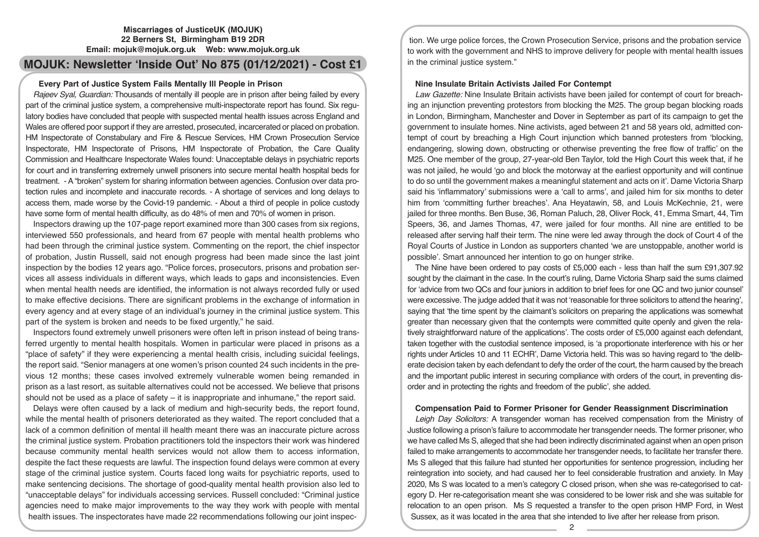# **Miscarriages of JusticeUK (MOJUK) 22 Berners St, Birmingham B19 2DR Email: mojuk@mojuk.org.uk Web: www.mojuk.org.uk**

# **MOJUK: Newsletter 'Inside Out' No 875 (01/12/2021) - Cost £1**

# **Every Part of Justice System Fails Mentally Ill People in Prison**

*Rajeev Syal, Guardian:* Thousands of mentally ill people are in prison after being failed by every part of the criminal justice system, a comprehensive multi-inspectorate report has found. Six regulatory bodies have concluded that people with suspected mental health issues across England and Wales are offered poor support if they are arrested, prosecuted, incarcerated or placed on probation. HM Inspectorate of Constabulary and Fire & Rescue Services, HM Crown Prosecution Service Inspectorate, HM Inspectorate of Prisons, HM Inspectorate of Probation, the Care Quality Commission and Healthcare Inspectorate Wales found: Unacceptable delays in psychiatric reports for court and in transferring extremely unwell prisoners into secure mental health hospital beds for treatment. - A "broken" system for sharing information between agencies. Confusion over data protection rules and incomplete and inaccurate records. - A shortage of services and long delays to access them, made worse by the Covid-19 pandemic. - About a third of people in police custody have some form of mental health difficulty, as do 48% of men and 70% of women in prison.

Inspectors drawing up the 107-page report examined more than 300 cases from six regions, interviewed 550 professionals, and heard from 67 people with mental health problems who had been through the criminal justice system. Commenting on the report, the chief inspector of probation, Justin Russell, said not enough progress had been made since the last joint inspection by the bodies 12 years ago. "Police forces, prosecutors, prisons and probation services all assess individuals in different ways, which leads to gaps and inconsistencies. Even when mental health needs are identified, the information is not always recorded fully or used to make effective decisions. There are significant problems in the exchange of information in every agency and at every stage of an individual's journey in the criminal justice system. This part of the system is broken and needs to be fixed urgently," he said.

Inspectors found extremely unwell prisoners were often left in prison instead of being transferred urgently to mental health hospitals. Women in particular were placed in prisons as a "place of safety" if they were experiencing a mental health crisis, including suicidal feelings, the report said. "Senior managers at one women's prison counted 24 such incidents in the previous 12 months; these cases involved extremely vulnerable women being remanded in prison as a last resort, as suitable alternatives could not be accessed. We believe that prisons should not be used as a place of safety  $-$  it is inappropriate and inhumane," the report said.

Delays were often caused by a lack of medium and high-security beds, the report found, while the mental health of prisoners deteriorated as they waited. The report concluded that a lack of a common definition of mental ill health meant there was an inaccurate picture across the criminal justice system. Probation practitioners told the inspectors their work was hindered because community mental health services would not allow them to access information, despite the fact these requests are lawful. The inspection found delays were common at every stage of the criminal justice system. Courts faced long waits for psychiatric reports, used to make sentencing decisions. The shortage of good-quality mental health provision also led to "unacceptable delays" for individuals accessing services. Russell concluded: "Criminal justice agencies need to make major improvements to the way they work with people with mental health issues. The inspectorates have made 22 recommendations following our joint inspec-

tion. We urge police forces, the Crown Prosecution Service, prisons and the probation service to work with the government and NHS to improve delivery for people with mental health issues in the criminal justice system."

# **Nine Insulate Britain Activists Jailed For Contempt**

*Law Gazette:* Nine Insulate Britain activists have been jailed for contempt of court for breaching an injunction preventing protestors from blocking the M25. The group began blocking roads in London, Birmingham, Manchester and Dover in September as part of its campaign to get the government to insulate homes. Nine activists, aged between 21 and 58 years old, admitted contempt of court by breaching a High Court injunction which banned protesters from 'blocking, endangering, slowing down, obstructing or otherwise preventing the free flow of traffic' on the M25. One member of the group, 27-year-old Ben Taylor, told the High Court this week that, if he was not jailed, he would 'go and block the motorway at the earliest opportunity and will continue to do so until the government makes a meaningful statement and acts on it'. Dame Victoria Sharp said his 'inflammatory' submissions were a 'call to arms', and jailed him for six months to deter him from 'committing further breaches'. Ana Heyatawin, 58, and Louis McKechnie, 21, were jailed for three months. Ben Buse, 36, Roman Paluch, 28, Oliver Rock, 41, Emma Smart, 44, Tim Speers, 36, and James Thomas, 47, were jailed for four months. All nine are entitled to be released after serving half their term. The nine were led away through the dock of Court 4 of the Royal Courts of Justice in London as supporters chanted 'we are unstoppable, another world is possible'. Smart announced her intention to go on hunger strike.

The Nine have been ordered to pay costs of £5,000 each - less than half the sum £91,307.92 sought by the claimant in the case. In the court's ruling, Dame Victoria Sharp said the sums claimed for 'advice from two QCs and four juniors in addition to brief fees for one QC and two junior counsel' were excessive. The judge added that it was not 'reasonable for three solicitors to attend the hearing', saying that 'the time spent by the claimant's solicitors on preparing the applications was somewhat greater than necessary given that the contempts were committed quite openly and given the relatively straightforward nature of the applications'. The costs order of £5,000 against each defendant, taken together with the custodial sentence imposed, is 'a proportionate interference with his or her rights under Articles 10 and 11 ECHR', Dame Victoria held. This was so having regard to 'the deliberate decision taken by each defendant to defy the order of the court, the harm caused by the breach and the important public interest in securing compliance with orders of the court, in preventing disorder and in protecting the rights and freedom of the public', she added.

# **Compensation Paid to Former Prisoner for Gender Reassignment Discrimination**

*Leigh Day Solicitors:* A transgender woman has received compensation from the Ministry of Justice following a prison's failure to accommodate her transgender needs. The former prisoner, who we have called Ms S, alleged that she had been indirectly discriminated against when an open prison failed to make arrangements to accommodate her transgender needs, to facilitate her transfer there. Ms S alleged that this failure had stunted her opportunities for sentence progression, including her reintegration into society, and had caused her to feel considerable frustration and anxiety. In May 2020, Ms S was located to a men's category C closed prison, when she was re-categorised to category D. Her re-categorisation meant she was considered to be lower risk and she was suitable for relocation to an open prison. Ms S requested a transfer to the open prison HMP Ford, in West Sussex, as it was located in the area that she intended to live after her release from prison.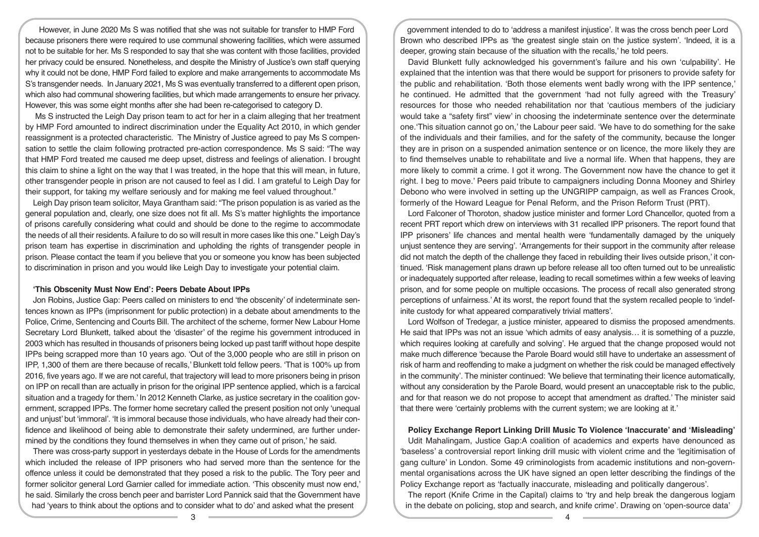However, in June 2020 Ms S was notified that she was not suitable for transfer to HMP Ford because prisoners there were required to use communal showering facilities, which were assumed not to be suitable for her. Ms S responded to say that she was content with those facilities, provided her privacy could be ensured. Nonetheless, and despite the Ministry of Justice's own staff querying why it could not be done, HMP Ford failed to explore and make arrangements to accommodate Ms S's transgender needs. In January 2021, Ms S was eventually transferred to a different open prison, which also had communal showering facilities, but which made arrangements to ensure her privacy. However, this was some eight months after she had been re-categorised to category D.

 Ms S instructed the Leigh Day prison team to act for her in a claim alleging that her treatment by HMP Ford amounted to indirect discrimination under the Equality Act 2010, in which gender reassignment is a protected characteristic. The Ministry of Justice agreed to pay Ms S compensation to settle the claim following protracted pre-action correspondence. Ms S said: "The way that HMP Ford treated me caused me deep upset, distress and feelings of alienation. I brought this claim to shine a light on the way that I was treated, in the hope that this will mean, in future, other transgender people in prison are not caused to feel as I did. I am grateful to Leigh Day for their support, for taking my welfare seriously and for making me feel valued throughout."

Leigh Day prison team solicitor, Maya Grantham said: "The prison population is as varied as the general population and, clearly, one size does not fit all. Ms S's matter highlights the importance of prisons carefully considering what could and should be done to the regime to accommodate the needs of all their residents. A failure to do so will result in more cases like this one." Leigh Day's prison team has expertise in discrimination and upholding the rights of transgender people in prison. Please contact the team if you believe that you or someone you know has been subjected to discrimination in prison and you would like Leigh Day to investigate your potential claim.

## **'This Obscenity Must Now End': Peers Debate About IPPs**

Jon Robins, Justice Gap: Peers called on ministers to end 'the obscenity' of indeterminate sentences known as IPPs (imprisonment for public protection) in a debate about amendments to the Police, Crime, Sentencing and Courts Bill. The architect of the scheme, former New Labour Home Secretary Lord Blunkett, talked about the 'disaster' of the regime his government introduced in 2003 which has resulted in thousands of prisoners being locked up past tariff without hope despite IPPs being scrapped more than 10 years ago. 'Out of the 3,000 people who are still in prison on IPP, 1,300 of them are there because of recalls,' Blunkett told fellow peers. 'That is 100% up from 2016, five years ago. If we are not careful, that trajectory will lead to more prisoners being in prison on IPP on recall than are actually in prison for the original IPP sentence applied, which is a farcical situation and a tragedy for them.' In 2012 Kenneth Clarke, as justice secretary in the coalition government, scrapped IPPs. The former home secretary called the present position not only 'unequal and unjust' but 'immoral'. 'It is immoral because those individuals, who have already had their confidence and likelihood of being able to demonstrate their safety undermined, are further undermined by the conditions they found themselves in when they came out of prison,' he said.

There was cross-party support in yesterdays debate in the House of Lords for the amendments which included the release of IPP prisoners who had served more than the sentence for the offence unless it could be demonstrated that they posed a risk to the public. The Tory peer and former solicitor general Lord Garnier called for immediate action. 'This obscenity must now end,' he said. Similarly the cross bench peer and barrister Lord Pannick said that the Government have had 'years to think about the options and to consider what to do' and asked what the present

government intended to do to 'address a manifest injustice'. It was the cross bench peer Lord Brown who described IPPs as 'the greatest single stain on the justice system'. 'Indeed, it is a deeper, growing stain because of the situation with the recalls,' he told peers.

David Blunkett fully acknowledged his government's failure and his own 'culpability'. He explained that the intention was that there would be support for prisoners to provide safety for the public and rehabilitation. 'Both those elements went badly wrong with the IPP sentence,' he continued. He admitted that the government 'had not fully agreed with the Treasury' resources for those who needed rehabilitation nor that 'cautious members of the judiciary would take a "safety first" view' in choosing the indeterminate sentence over the determinate one.'This situation cannot go on,' the Labour peer said. 'We have to do something for the sake of the individuals and their families, and for the safety of the community, because the longer they are in prison on a suspended animation sentence or on licence, the more likely they are to find themselves unable to rehabilitate and live a normal life. When that happens, they are more likely to commit a crime. I got it wrong. The Government now have the chance to get it right. I beg to move.' Peers paid tribute to campaigners including Donna Mooney and Shirley Debono who were involved in setting up the UNGRIPP campaign, as well as Frances Crook, formerly of the Howard League for Penal Reform, and the Prison Reform Trust (PRT).

Lord Falconer of Thoroton, shadow justice minister and former Lord Chancellor, quoted from a recent PRT report which drew on interviews with 31 recalled IPP prisoners. The report found that IPP prisoners' life chances and mental health were 'fundamentally damaged by the uniquely unjust sentence they are serving'. 'Arrangements for their support in the community after release did not match the depth of the challenge they faced in rebuilding their lives outside prison,' it continued. 'Risk management plans drawn up before release all too often turned out to be unrealistic or inadequately supported after release, leading to recall sometimes within a few weeks of leaving prison, and for some people on multiple occasions. The process of recall also generated strong perceptions of unfairness.' At its worst, the report found that the system recalled people to 'indefinite custody for what appeared comparatively trivial matters'.

Lord Wolfson of Tredegar, a justice minister, appeared to dismiss the proposed amendments. He said that IPPs was not an issue 'which admits of easy analysis… it is something of a puzzle, which requires looking at carefully and solving'. He argued that the change proposed would not make much difference 'because the Parole Board would still have to undertake an assessment of risk of harm and reoffending to make a judgment on whether the risk could be managed effectively in the community'. The minister continued: 'We believe that terminating their licence automatically, without any consideration by the Parole Board, would present an unacceptable risk to the public, and for that reason we do not propose to accept that amendment as drafted.' The minister said that there were 'certainly problems with the current system; we are looking at it.'

## **Policy Exchange Report Linking Drill Music To Violence 'Inaccurate' and 'Misleading'**

Udit Mahalingam, Justice Gap:A coalition of academics and experts have denounced as 'baseless' a controversial report linking drill music with violent crime and the 'legitimisation of gang culture' in London. Some 49 criminologists from academic institutions and non-governmental organisations across the UK have signed an open letter describing the findings of the Policy Exchange report as 'factually inaccurate, misleading and politically dangerous'.

The report (Knife Crime in the Capital) claims to 'try and help break the dangerous logjam in the debate on policing, stop and search, and knife crime'. Drawing on 'open-source data'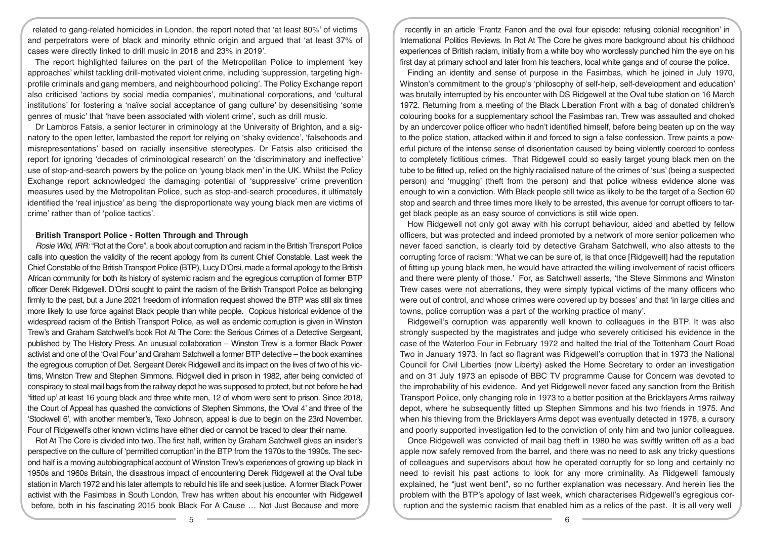related to gang-related homicides in London, the report noted that 'at least 80%' of victims and perpetrators were of black and minority ethnic origin and argued that 'at least 37% of cases were directly linked to drill music in 2018 and 23% in 2019'.

The report highlighted failures on the part of the Metropolitan Police to implement 'key approaches' whilst tackling drill-motivated violent crime, including 'suppression, targeting highprofile criminals and gang members, and neighbourhood policing'. The Policy Exchange report also criticised 'actions by social media companies', multinational corporations, and 'cultural institutions' for fostering a 'naïve social acceptance of gang culture' by desensitising 'some genres of music' that 'have been associated with violent crime', such as drill music.

Dr Lambros Fatsis, a senior lecturer in criminology at the University of Brighton, and a signatory to the open letter, lambasted the report for relying on 'shaky evidence', 'falsehoods and misrepresentations' based on racially insensitive stereotypes. Dr Fatsis also criticised the report for ignoring 'decades of criminological research' on the 'discriminatory and ineffective' use of stop-and-search powers by the police on 'young black men' in the UK. Whilst the Policy Exchange report acknowledged the damaging potential of 'suppressive' crime prevention measures used by the Metropolitan Police, such as stop-and-search procedures, it ultimately identified the 'real injustice' as being 'the disproportionate way young black men are victims of crime' rather than of 'police tactics'.

## **British Transport Police - Rotten Through and Through**

*Rosie Wild, IRR:* "Rot at the Core", a book about corruption and racism in the British Transport Police calls into question the validity of the recent apology from its current Chief Constable. Last week the Chief Constable of the British Transport Police (BTP), Lucy D'Orsi, made a formal apology to the British African community for both its history of systemic racism and the egregious corruption of former BTP officer Derek Ridgewell. D'Orsi sought to paint the racism of the British Transport Police as belonging firmly to the past, but a June 2021 freedom of information request showed the BTP was still six times more likely to use force against Black people than white people. Copious historical evidence of the widespread racism of the British Transport Police, as well as endemic corruption is given in Winston Trew's and Graham Satchwell's book Rot At The Core: the Serious Crimes of a Detective Sergeant, published by The History Press. An unusual collaboration – Winston Trew is a former Black Power activist and one of the 'Oval Four' and Graham Satchwell a former BTP detective – the book examines the egregious corruption of Det. Sergeant Derek Ridgewell and its impact on the lives of two of his victims, Winston Trew and Stephen Simmons. Ridgwell died in prison in 1982, after being convicted of conspiracy to steal mail bags from the railway depot he was supposed to protect, but not before he had 'fitted up' at least 16 young black and three white men, 12 of whom were sent to prison. Since 2018, the Court of Appeal has quashed the convictions of Stephen Simmons, the 'Oval 4' and three of the 'Stockwell 6', with another member's, Texo Johnson, appeal is due to begin on the 23rd November. Four of Ridgewell's other known victims have either died or cannot be traced to clear their name.

Rot At The Core is divided into two. The first half, written by Graham Satchwell gives an insider's perspective on the culture of 'permitted corruption' in the BTP from the 1970s to the 1990s. The second half is a moving autobiographical account of Winston Trew's experiences of growing up black in 1950s and 1960s Britain, the disastrous impact of encountering Derek Ridgewell at the Oval tube station in March 1972 and his later attempts to rebuild his life and seek justice. A former Black Power activist with the Fasimbas in South London, Trew has written about his encounter with Ridgewell before, both in his fascinating 2015 book Black For A Cause … Not Just Because and more

recently in an article 'Frantz Fanon and the oval four episode: refusing colonial recognition' in International Politics Reviews. In Rot At The Core he gives more background about his childhood experiences of British racism, initially from a white boy who wordlessly punched him the eye on his first day at primary school and later from his teachers, local white gangs and of course the police.

Finding an identity and sense of purpose in the Fasimbas, which he joined in July 1970, Winston's commitment to the group's 'philosophy of self-help, self-development and education' was brutally interrupted by his encounter with DS Ridgewell at the Oval tube station on 16 March 1972. Returning from a meeting of the Black Liberation Front with a bag of donated children's colouring books for a supplementary school the Fasimbas ran, Trew was assaulted and choked by an undercover police officer who hadn't identified himself, before being beaten up on the way to the police station, attacked within it and forced to sign a false confession. Trew paints a powerful picture of the intense sense of disorientation caused by being violently coerced to confess to completely fictitious crimes. That Ridgewell could so easily target young black men on the tube to be fitted up, relied on the highly racialised nature of the crimes of 'sus' (being a suspected person) and 'mugging' (theft from the person) and that police witness evidence alone was enough to win a conviction. With Black people still twice as likely to be the target of a Section 60 stop and search and three times more likely to be arrested, this avenue for corrupt officers to target black people as an easy source of convictions is still wide open.

How Ridgewell not only got away with his corrupt behaviour, aided and abetted by fellow officers, but was protected and indeed promoted by a network of more senior policemen who never faced sanction, is clearly told by detective Graham Satchwell, who also attests to the corrupting force of racism: 'What we can be sure of, is that once [Ridgewell] had the reputation of fitting up young black men, he would have attracted the willing involvement of racist officers and there were plenty of those.' For, as Satchwell asserts, 'the Steve Simmons and Winston Trew cases were not aberrations, they were simply typical victims of the many officers who were out of control, and whose crimes were covered up by bosses' and that 'in large cities and towns, police corruption was a part of the working practice of many'.

Ridgewell's corruption was apparently well known to colleagues in the BTP. It was also strongly suspected by the magistrates and judge who severely criticised his evidence in the case of the Waterloo Four in February 1972 and halted the trial of the Tottenham Court Road Two in January 1973. In fact so flagrant was Ridgewell's corruption that in 1973 the National Council for Civil Liberties (now Liberty) asked the Home Secretary to order an investigation and on 31 July 1973 an episode of BBC TV programme Cause for Concern was devoted to the improbability of his evidence. And yet Ridgewell never faced any sanction from the British Transport Police, only changing role in 1973 to a better position at the Bricklayers Arms railway depot, where he subsequently fitted up Stephen Simmons and his two friends in 1975. And when his thieving from the Bricklayers Arms depot was eventually detected in 1978, a cursory and poorly supported investigation led to the conviction of only him and two junior colleagues.

Once Ridgewell was convicted of mail bag theft in 1980 he was swiftly written off as a bad apple now safely removed from the barrel, and there was no need to ask any tricky questions of colleagues and supervisors about how he operated corruptly for so long and certainly no need to revisit his past actions to look for any more criminality. As Ridgewell famously explained, he "just went bent", so no further explanation was necessary. And herein lies the problem with the BTP's apology of last week, which characterises Ridgewell's egregious corruption and the systemic racism that enabled him as a relics of the past. It is all very well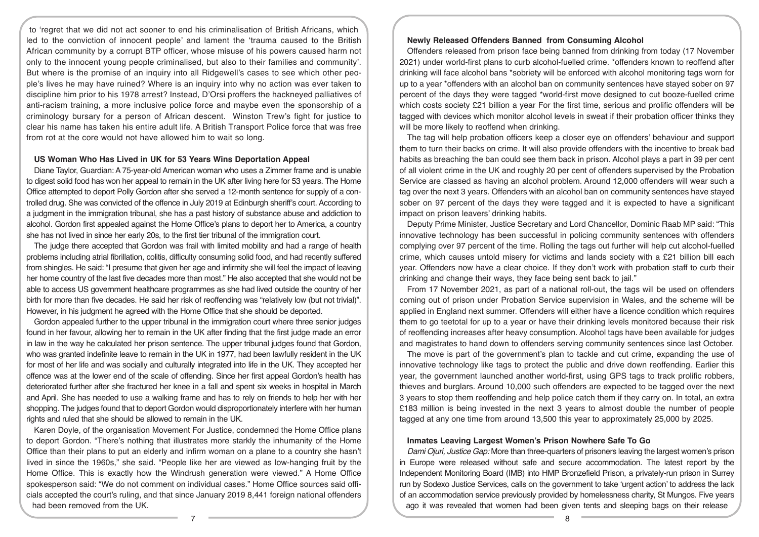to 'regret that we did not act sooner to end his criminalisation of British Africans, which led to the conviction of innocent people' and lament the 'trauma caused to the British African community by a corrupt BTP officer, whose misuse of his powers caused harm not only to the innocent young people criminalised, but also to their families and community'. But where is the promise of an inquiry into all Ridgewell's cases to see which other people's lives he may have ruined? Where is an inquiry into why no action was ever taken to discipline him prior to his 1978 arrest? Instead, D'Orsi proffers the hackneyed palliatives of anti-racism training, a more inclusive police force and maybe even the sponsorship of a criminology bursary for a person of African descent. Winston Trew's fight for justice to clear his name has taken his entire adult life. A British Transport Police force that was free from rot at the core would not have allowed him to wait so long.

# **US Woman Who Has Lived in UK for 53 Years Wins Deportation Appeal**

Diane Taylor, Guardian: A 75-year-old American woman who uses a Zimmer frame and is unable to digest solid food has won her appeal to remain in the UK after living here for 53 years. The Home Office attempted to deport Polly Gordon after she served a 12-month sentence for supply of a controlled drug. She was convicted of the offence in July 2019 at Edinburgh sheriff's court. According to a judgment in the immigration tribunal, she has a past history of substance abuse and addiction to alcohol. Gordon first appealed against the Home Office's plans to deport her to America, a country she has not lived in since her early 20s, to the first tier tribunal of the immigration court.

The judge there accepted that Gordon was frail with limited mobility and had a range of health problems including atrial fibrillation, colitis, difficulty consuming solid food, and had recently suffered from shingles. He said: "I presume that given her age and infirmity she will feel the impact of leaving her home country of the last five decades more than most." He also accepted that she would not be able to access US government healthcare programmes as she had lived outside the country of her birth for more than five decades. He said her risk of reoffending was "relatively low (but not trivial)". However, in his judgment he agreed with the Home Office that she should be deported.

Gordon appealed further to the upper tribunal in the immigration court where three senior judges found in her favour, allowing her to remain in the UK after finding that the first judge made an error in law in the way he calculated her prison sentence. The upper tribunal judges found that Gordon, who was granted indefinite leave to remain in the UK in 1977, had been lawfully resident in the UK for most of her life and was socially and culturally integrated into life in the UK. They accepted her offence was at the lower end of the scale of offending. Since her first appeal Gordon's health has deteriorated further after she fractured her knee in a fall and spent six weeks in hospital in March and April. She has needed to use a walking frame and has to rely on friends to help her with her shopping. The judges found that to deport Gordon would disproportionately interfere with her human rights and ruled that she should be allowed to remain in the UK.

Karen Doyle, of the organisation Movement For Justice, condemned the Home Office plans to deport Gordon. "There's nothing that illustrates more starkly the inhumanity of the Home Office than their plans to put an elderly and infirm woman on a plane to a country she hasn't lived in since the 1960s," she said. "People like her are viewed as low-hanging fruit by the Home Office. This is exactly how the Windrush generation were viewed." A Home Office spokesperson said: "We do not comment on individual cases." Home Office sources said officials accepted the court's ruling, and that since January 2019 8,441 foreign national offenders had been removed from the UK.

# **Newly Released Offenders Banned from Consuming Alcohol**

Offenders released from prison face being banned from drinking from today (17 November 2021) under world-first plans to curb alcohol-fuelled crime. \*offenders known to reoffend after drinking will face alcohol bans \*sobriety will be enforced with alcohol monitoring tags worn for up to a year \*offenders with an alcohol ban on community sentences have stayed sober on 97 percent of the days they were tagged \*world-first move designed to cut booze-fuelled crime which costs society £21 billion a year For the first time, serious and prolific offenders will be tagged with devices which monitor alcohol levels in sweat if their probation officer thinks they will be more likely to reoffend when drinking.

The tag will help probation officers keep a closer eye on offenders' behaviour and support them to turn their backs on crime. It will also provide offenders with the incentive to break bad habits as breaching the ban could see them back in prison. Alcohol plays a part in 39 per cent of all violent crime in the UK and roughly 20 per cent of offenders supervised by the Probation Service are classed as having an alcohol problem. Around 12,000 offenders will wear such a tag over the next 3 years. Offenders with an alcohol ban on community sentences have stayed sober on 97 percent of the days they were tagged and it is expected to have a significant impact on prison leavers' drinking habits.

Deputy Prime Minister, Justice Secretary and Lord Chancellor, Dominic Raab MP said: "This innovative technology has been successful in policing community sentences with offenders complying over 97 percent of the time. Rolling the tags out further will help cut alcohol-fuelled crime, which causes untold misery for victims and lands society with a £21 billion bill each year. Offenders now have a clear choice. If they don't work with probation staff to curb their drinking and change their ways, they face being sent back to jail."

From 17 November 2021, as part of a national roll-out, the tags will be used on offenders coming out of prison under Probation Service supervision in Wales, and the scheme will be applied in England next summer. Offenders will either have a licence condition which requires them to go teetotal for up to a year or have their drinking levels monitored because their risk of reoffending increases after heavy consumption. Alcohol tags have been available for judges and magistrates to hand down to offenders serving community sentences since last October.

The move is part of the government's plan to tackle and cut crime, expanding the use of innovative technology like tags to protect the public and drive down reoffending. Earlier this year, the government launched another world-first, using GPS tags to track prolific robbers, thieves and burglars. Around 10,000 such offenders are expected to be tagged over the next 3 years to stop them reoffending and help police catch them if they carry on. In total, an extra £183 million is being invested in the next 3 years to almost double the number of people tagged at any one time from around 13,500 this year to approximately 25,000 by 2025.

#### **Inmates Leaving Largest Women's Prison Nowhere Safe To Go**

*Dami Ojuri, Justice Gap:* More than three-quarters of prisoners leaving the largest women's prison in Europe were released without safe and secure accommodation. The latest report by the Independent Monitoring Board (IMB) into HMP Bronzefield Prison, a privately-run prison in Surrey run by Sodexo Justice Services, calls on the government to take 'urgent action' to address the lack of an accommodation service previously provided by homelessness charity, St Mungos. Five years ago it was revealed that women had been given tents and sleeping bags on their release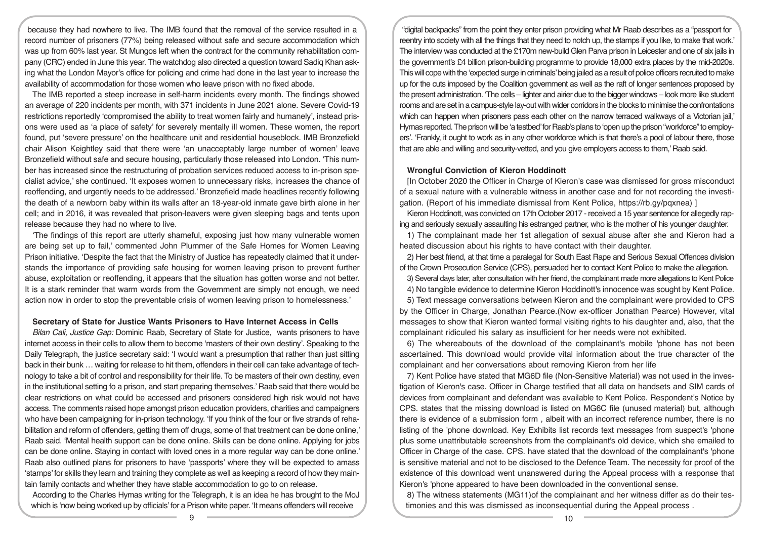because they had nowhere to live. The IMB found that the removal of the service resulted in a record number of prisoners (77%) being released without safe and secure accommodation which was up from 60% last year. St Mungos left when the contract for the community rehabilitation company (CRC) ended in June this year. The watchdog also directed a question toward Sadiq Khan asking what the London Mayor's office for policing and crime had done in the last year to increase the availability of accommodation for those women who leave prison with no fixed abode.

The IMB reported a steep increase in self-harm incidents every month. The findings showed an average of 220 incidents per month, with 371 incidents in June 2021 alone. Severe Covid-19 restrictions reportedly 'compromised the ability to treat women fairly and humanely', instead prisons were used as 'a place of safety' for severely mentally ill women. These women, the report found, put 'severe pressure' on the healthcare unit and residential houseblock. IMB Bronzefield chair Alison Keightley said that there were 'an unacceptably large number of women' leave Bronzefield without safe and secure housing, particularly those released into London. 'This number has increased since the restructuring of probation services reduced access to in-prison specialist advice,' she continued. 'It exposes women to unnecessary risks, increases the chance of reoffending, and urgently needs to be addressed.' Bronzefield made headlines recently following the death of a newborn baby within its walls after an 18-year-old inmate gave birth alone in her cell; and in 2016, it was revealed that prison-leavers were given sleeping bags and tents upon release because they had no where to live.

'The findings of this report are utterly shameful, exposing just how many vulnerable women are being set up to fail,' commented John Plummer of the Safe Homes for Women Leaving Prison initiative. 'Despite the fact that the Ministry of Justice has repeatedly claimed that it understands the importance of providing safe housing for women leaving prison to prevent further abuse, exploitation or reoffending, it appears that the situation has gotten worse and not better. It is a stark reminder that warm words from the Government are simply not enough, we need action now in order to stop the preventable crisis of women leaving prison to homelessness.'

## **Secretary of State for Justice Wants Prisoners to Have Internet Access in Cells**

*Bilan Cali, Justice Gap:* Dominic Raab, Secretary of State for Justice, wants prisoners to have internet access in their cells to allow them to become 'masters of their own destiny'. Speaking to the Daily Telegraph, the justice secretary said: 'I would want a presumption that rather than just sitting back in their bunk … waiting for release to hit them, offenders in their cell can take advantage of technology to take a bit of control and responsibility for their life. To be masters of their own destiny, even in the institutional setting fo a prison, and start preparing themselves.' Raab said that there would be clear restrictions on what could be accessed and prisoners considered high risk would not have access. The comments raised hope amongst prison education providers, charities and campaigners who have been campaigning for in-prison technology. 'If you think of the four or five strands of rehabilitation and reform of offenders, getting them off drugs, some of that treatment can be done online,' Raab said. 'Mental health support can be done online. Skills can be done online. Applying for jobs can be done online. Staying in contact with loved ones in a more regular way can be done online.' Raab also outlined plans for prisoners to have 'passports' where they will be expected to amass 'stamps' for skills they learn and training they complete as well as keeping a record of how they maintain family contacts and whether they have stable accommodation to go to on release.

According to the Charles Hymas writing for the Telegraph, it is an idea he has brought to the MoJ which is 'now being worked up by officials' for a Prison white paper. 'It means offenders will receive

"digital backpacks" from the point they enter prison providing what Mr Raab describes as a "passport for reentry into society with all the things that they need to notch up, the stamps if you like, to make that work.' The interview was conducted at the £170m new-build Glen Parva prison in Leicester and one of six jails in the government's £4 billion prison-building programme to provide 18,000 extra places by the mid-2020s. This will cope with the 'expected surge in criminals' being jailed as a result of police officers recruited to make up for the cuts imposed by the Coalition government as well as the raft of longer sentences proposed by the present administration. 'The cells – lighter and airier due to the bigger windows – look more like student rooms and are set in a campus-style lay-out with wider corridors in the blocks to minimise the confrontations which can happen when prisoners pass each other on the narrow terraced walkways of a Victorian jail,' Hymas reported. The prison will be 'a testbed' for Raab's plans to 'open up the prison "workforce" to employers'. 'Frankly, it ought to work as in any other workforce which is that there's a pool of labour there, those that are able and willing and security-vetted, and you give employers access to them,' Raab said.

## **Wrongful Conviction of Kieron Hoddinott**

[In October 2020 the Officer in Charge of Kieron's case was dismissed for gross misconduct of a sexual nature with a vulnerable witness in another case and for not recording the investigation. (Report of his immediate dismissal from Kent Police, https://rb.gy/pqxnea) ]

Kieron Hoddinott, was convicted on 17th October 2017 - received a 15 year sentence for allegedly raping and seriously sexually assaulting his estranged partner, who is the mother of his younger daughter.

1) The complainant made her 1st allegation of sexual abuse after she and Kieron had a heated discussion about his rights to have contact with their daughter.

2) Her best friend, at that time a paralegal for South East Rape and Serious Sexual Offences division of the Crown Prosecution Service (CPS), persuaded her to contact Kent Police to make the allegation.

- 3) Several days later, after consultation with her friend, the complainant made more allegations to Kent Police
- 4) No tangible evidence to determine Kieron Hoddinott's innocence was sought by Kent Police.

5) Text message conversations between Kieron and the complainant were provided to CPS by the Officer in Charge, Jonathan Pearce.(Now ex-officer Jonathan Pearce) However, vital messages to show that Kieron wanted formal visiting rights to his daughter and, also, that the complainant ridiculed his salary as insufficient for her needs were not exhibited.

6) The whereabouts of the download of the complainant's mobile 'phone has not been ascertained. This download would provide vital information about the true character of the complainant and her conversations about removing Kieron from her life

7) Kent Police have stated that MG6D file (Non-Sensitive Material) was not used in the investigation of Kieron's case. Officer in Charge testified that all data on handsets and SIM cards of devices from complainant and defendant was available to Kent Police. Respondent's Notice by CPS. states that the missing download is listed on MG6C file (unused material) but, although there is evidence of a submission form , albeit with an incorrect reference number, there is no listing of the 'phone download. Key Exhibits list records text messages from suspect's 'phone plus some unattributable screenshots from the complainant's old device, which she emailed to Officer in Charge of the case. CPS. have stated that the download of the complainant's 'phone is sensitive material and not to be disclosed to the Defence Team. The necessity for proof of the existence of this download went unanswered during the Appeal process with a response that Kieron's 'phone appeared to have been downloaded in the conventional sense.

8) The witness statements (MG11)of the complainant and her witness differ as do their testimonies and this was dismissed as inconsequential during the Appeal process .